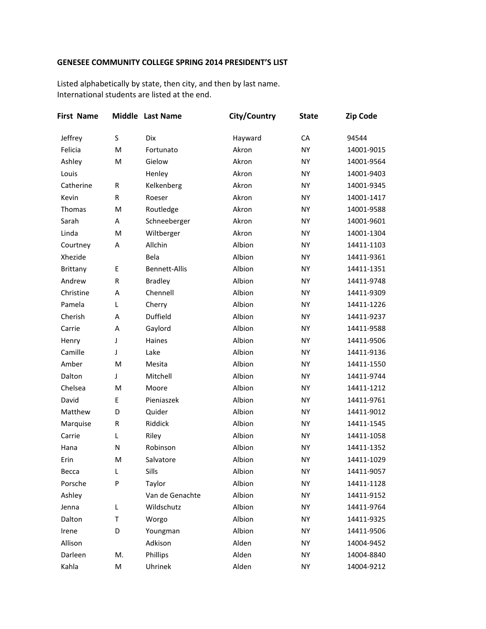## **GENESEE COMMUNITY COLLEGE SPRING 2014 PRESIDENT'S LIST**

Listed alphabetically by state, then city, and then by last name. International students are listed at the end.

| <b>First Name</b> |              | Middle Last Name     | City/Country | <b>State</b> | <b>Zip Code</b> |
|-------------------|--------------|----------------------|--------------|--------------|-----------------|
| Jeffrey           | S            | <b>Dix</b>           | Hayward      | CA           | 94544           |
| Felicia           | M            | Fortunato            | Akron        | <b>NY</b>    | 14001-9015      |
| Ashley            | M            | Gielow               | Akron        | <b>NY</b>    | 14001-9564      |
| Louis             |              | Henley               | Akron        | <b>NY</b>    | 14001-9403      |
| Catherine         | $\mathsf{R}$ | Kelkenberg           | Akron        | <b>NY</b>    | 14001-9345      |
| Kevin             | $\mathsf{R}$ | Roeser               | Akron        | <b>NY</b>    | 14001-1417      |
| Thomas            | M            | Routledge            | Akron        | <b>NY</b>    | 14001-9588      |
| Sarah             | A            | Schneeberger         | Akron        | <b>NY</b>    | 14001-9601      |
| Linda             | M            | Wiltberger           | Akron        | <b>NY</b>    | 14001-1304      |
| Courtney          | A            | Allchin              | Albion       | <b>NY</b>    | 14411-1103      |
| Xhezide           |              | Bela                 | Albion       | <b>NY</b>    | 14411-9361      |
| <b>Brittany</b>   | E            | <b>Bennett-Allis</b> | Albion       | <b>NY</b>    | 14411-1351      |
| Andrew            | $\mathsf{R}$ | <b>Bradley</b>       | Albion       | <b>NY</b>    | 14411-9748      |
| Christine         | A            | Chennell             | Albion       | <b>NY</b>    | 14411-9309      |
| Pamela            | L            | Cherry               | Albion       | <b>NY</b>    | 14411-1226      |
| Cherish           | A            | Duffield             | Albion       | <b>NY</b>    | 14411-9237      |
| Carrie            | A            | Gaylord              | Albion       | <b>NY</b>    | 14411-9588      |
| Henry             | J            | Haines               | Albion       | <b>NY</b>    | 14411-9506      |
| Camille           | J            | Lake                 | Albion       | <b>NY</b>    | 14411-9136      |
| Amber             | M            | Mesita               | Albion       | <b>NY</b>    | 14411-1550      |
| Dalton            | J            | Mitchell             | Albion       | <b>NY</b>    | 14411-9744      |
| Chelsea           | M            | Moore                | Albion       | <b>NY</b>    | 14411-1212      |
| David             | E            | Pieniaszek           | Albion       | <b>NY</b>    | 14411-9761      |
| Matthew           | D            | Quider               | Albion       | <b>NY</b>    | 14411-9012      |
| Marquise          | $\mathsf{R}$ | Riddick              | Albion       | NY           | 14411-1545      |
| Carrie            | L            | Riley                | Albion       | <b>NY</b>    | 14411-1058      |
| Hana              | N            | Robinson             | Albion       | <b>NY</b>    | 14411-1352      |
| Erin              | M            | Salvatore            | Albion       | <b>NY</b>    | 14411-1029      |
| Becca             | L            | Sills                | Albion       | ΝY           | 14411-9057      |
| Porsche           | ${\sf P}$    | Taylor               | Albion       | <b>NY</b>    | 14411-1128      |
| Ashley            |              | Van de Genachte      | Albion       | <b>NY</b>    | 14411-9152      |
| Jenna             | L            | Wildschutz           | Albion       | NY           | 14411-9764      |
| Dalton            | T            | Worgo                | Albion       | NY           | 14411-9325      |
| Irene             | D            | Youngman             | Albion       | NY           | 14411-9506      |
| Allison           |              | Adkison              | Alden        | NY           | 14004-9452      |
| Darleen           | M.           | Phillips             | Alden        | NY           | 14004-8840      |
| Kahla             | M            | Uhrinek              | Alden        | <b>NY</b>    | 14004-9212      |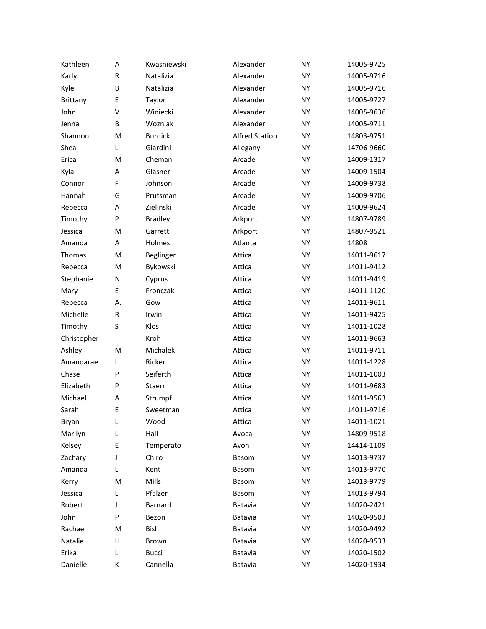| Kathleen      | A            | Kwasniewski    | Alexander             | <b>NY</b> | 14005-9725 |
|---------------|--------------|----------------|-----------------------|-----------|------------|
| Karly         | R            | Natalizia      | Alexander             | <b>NY</b> | 14005-9716 |
| Kyle          | B            | Natalizia      | Alexander             | <b>NY</b> | 14005-9716 |
| Brittany      | E            | Taylor         | Alexander             | <b>NY</b> | 14005-9727 |
| John          | $\vee$       | Winiecki       | Alexander             | <b>NY</b> | 14005-9636 |
| Jenna         | B            | Wozniak        | Alexander             | <b>NY</b> | 14005-9711 |
| Shannon       | M            | <b>Burdick</b> | <b>Alfred Station</b> | <b>NY</b> | 14803-9751 |
| Shea          | L            | Giardini       | Allegany              | <b>NY</b> | 14706-9660 |
| Erica         | M            | Cheman         | Arcade                | <b>NY</b> | 14009-1317 |
| Kyla          | A            | Glasner        | Arcade                | <b>NY</b> | 14009-1504 |
| Connor        | F            | Johnson        | Arcade                | <b>NY</b> | 14009-9738 |
| Hannah        | G            | Prutsman       | Arcade                | <b>NY</b> | 14009-9706 |
| Rebecca       | A            | Zielinski      | Arcade                | <b>NY</b> | 14009-9624 |
| Timothy       | P            | <b>Bradley</b> | Arkport               | <b>NY</b> | 14807-9789 |
| Jessica       | M            | Garrett        | Arkport               | <b>NY</b> | 14807-9521 |
| Amanda        | A            | Holmes         | Atlanta               | <b>NY</b> | 14808      |
| <b>Thomas</b> | M            | Beglinger      | Attica                | <b>NY</b> | 14011-9617 |
| Rebecca       | M            | Bykowski       | Attica                | <b>NY</b> | 14011-9412 |
| Stephanie     | N            | Cyprus         | Attica                | <b>NY</b> | 14011-9419 |
| Mary          | E            | Fronczak       | Attica                | <b>NY</b> | 14011-1120 |
| Rebecca       | Α.           | Gow            | Attica                | <b>NY</b> | 14011-9611 |
| Michelle      | $\mathsf{R}$ | Irwin          | Attica                | <b>NY</b> | 14011-9425 |
| Timothy       | S            | Klos           | Attica                | <b>NY</b> | 14011-1028 |
| Christopher   |              | Kroh           | Attica                | <b>NY</b> | 14011-9663 |
| Ashley        | M            | Michalek       | Attica                | <b>NY</b> | 14011-9711 |
| Amandarae     | L            | Ricker         | Attica                | <b>NY</b> | 14011-1228 |
| Chase         | P            | Seiferth       | Attica                | <b>NY</b> | 14011-1003 |
| Elizabeth     | P            | Staerr         | Attica                | <b>NY</b> | 14011-9683 |
| Michael       | A            | Strumpf        | Attica                | <b>NY</b> | 14011-9563 |
| Sarah         | E            | Sweetman       | Attica                | <b>NY</b> | 14011-9716 |
| Bryan         | L            | Wood           | Attica                | NY        | 14011-1021 |
| Marilyn       | L            | Hall           | Avoca                 | <b>NY</b> | 14809-9518 |
| Kelsey        | Ε            | Temperato      | Avon                  | <b>NY</b> | 14414-1109 |
| Zachary       | J            | Chiro          | Basom                 | <b>NY</b> | 14013-9737 |
| Amanda        | L            | Kent           | Basom                 | <b>NY</b> | 14013-9770 |
| Kerry         | M            | Mills          | Basom                 | <b>NY</b> | 14013-9779 |
| Jessica       | L            | Pfalzer        | Basom                 | <b>NY</b> | 14013-9794 |
| Robert        | J            | Barnard        | Batavia               | <b>NY</b> | 14020-2421 |
| John          | P            | Bezon          | Batavia               | <b>NY</b> | 14020-9503 |
| Rachael       | M            | Bish           | Batavia               | <b>NY</b> | 14020-9492 |
| Natalie       | н            | Brown          | Batavia               | <b>NY</b> | 14020-9533 |
| Erika         | L            | <b>Bucci</b>   | Batavia               | <b>NY</b> | 14020-1502 |
| Danielle      | Κ            | Cannella       | Batavia               | <b>NY</b> | 14020-1934 |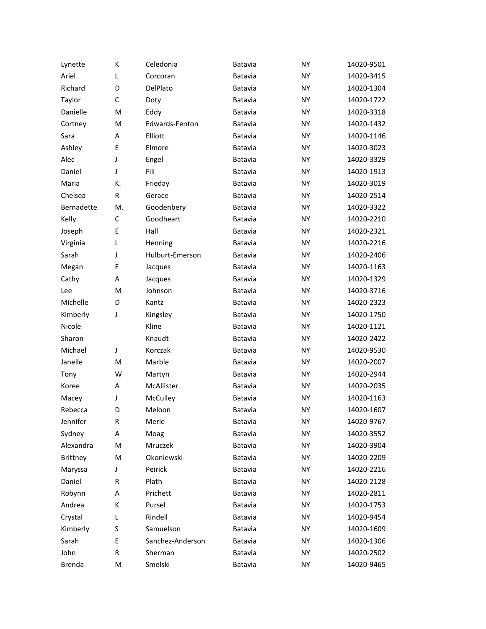| Lynette         | К  | Celedonia        | Batavia | <b>NY</b> | 14020-9501 |
|-----------------|----|------------------|---------|-----------|------------|
| Ariel           | L  | Corcoran         | Batavia | <b>NY</b> | 14020-3415 |
| Richard         | D  | DelPlato         | Batavia | <b>NY</b> | 14020-1304 |
| Taylor          | C  | Doty             | Batavia | <b>NY</b> | 14020-1722 |
| Danielle        | M  | Eddy             | Batavia | <b>NY</b> | 14020-3318 |
| Cortney         | M  | Edwards-Fenton   | Batavia | <b>NY</b> | 14020-1432 |
| Sara            | Α  | Elliott          | Batavia | <b>NY</b> | 14020-1146 |
| Ashley          | E  | Elmore           | Batavia | <b>NY</b> | 14020-3023 |
| Alec            | J  | Engel            | Batavia | <b>NY</b> | 14020-3329 |
| Daniel          | J  | Fili             | Batavia | <b>NY</b> | 14020-1913 |
| Maria           | К. | Frieday          | Batavia | <b>NY</b> | 14020-3019 |
| Chelsea         | R  | Gerace           | Batavia | <b>NY</b> | 14020-2514 |
| Bernadette      | M. | Goodenbery       | Batavia | <b>NY</b> | 14020-3322 |
| Kelly           | C  | Goodheart        | Batavia | <b>NY</b> | 14020-2210 |
| Joseph          | E  | Hall             | Batavia | <b>NY</b> | 14020-2321 |
| Virginia        | L  | Henning          | Batavia | <b>NY</b> | 14020-2216 |
| Sarah           | J  | Hulburt-Emerson  | Batavia | <b>NY</b> | 14020-2406 |
| Megan           | E  | Jacques          | Batavia | <b>NY</b> | 14020-1163 |
| Cathy           | A  | Jacques          | Batavia | <b>NY</b> | 14020-1329 |
| Lee             | M  | Johnson          | Batavia | <b>NY</b> | 14020-3716 |
| Michelle        | D  | Kantz            | Batavia | <b>NY</b> | 14020-2323 |
| Kimberly        | J  | Kingsley         | Batavia | <b>NY</b> | 14020-1750 |
| Nicole          |    | Kline            | Batavia | <b>NY</b> | 14020-1121 |
| Sharon          |    | Knaudt           | Batavia | <b>NY</b> | 14020-2422 |
| Michael         | J  | Korczak          | Batavia | <b>NY</b> | 14020-9530 |
| Janelle         | M  | Marble           | Batavia | <b>NY</b> | 14020-2007 |
| Tony            | W  | Martyn           | Batavia | <b>NY</b> | 14020-2944 |
| Koree           | A  | McAllister       | Batavia | <b>NY</b> | 14020-2035 |
| Macey           | J  | McCulley         | Batavia | <b>NY</b> | 14020-1163 |
| Rebecca         | D  | Meloon           | Batavia | <b>NY</b> | 14020-1607 |
| Jennifer        | R  | Merle            | Batavia | NY        | 14020-9767 |
| Sydney          | Α  | Moag             | Batavia | <b>NY</b> | 14020-3552 |
| Alexandra       | M  | Mruczek          | Batavia | <b>NY</b> | 14020-3904 |
| <b>Brittney</b> | M  | Okoniewski       | Batavia | <b>NY</b> | 14020-2209 |
| Maryssa         | J  | Peirick          | Batavia | <b>NY</b> | 14020-2216 |
| Daniel          | R  | Plath            | Batavia | <b>NY</b> | 14020-2128 |
| Robynn          | Α  | Prichett         | Batavia | <b>NY</b> | 14020-2811 |
| Andrea          | К  | Pursel           | Batavia | <b>NY</b> | 14020-1753 |
| Crystal         | L  | Rindell          | Batavia | <b>NY</b> | 14020-9454 |
| Kimberly        | S  | Samuelson        | Batavia | <b>NY</b> | 14020-1609 |
| Sarah           | E  | Sanchez-Anderson | Batavia | <b>NY</b> | 14020-1306 |
| John            | R  | Sherman          | Batavia | NY        | 14020-2502 |
| Brenda          | M  | Smelski          | Batavia | NY        | 14020-9465 |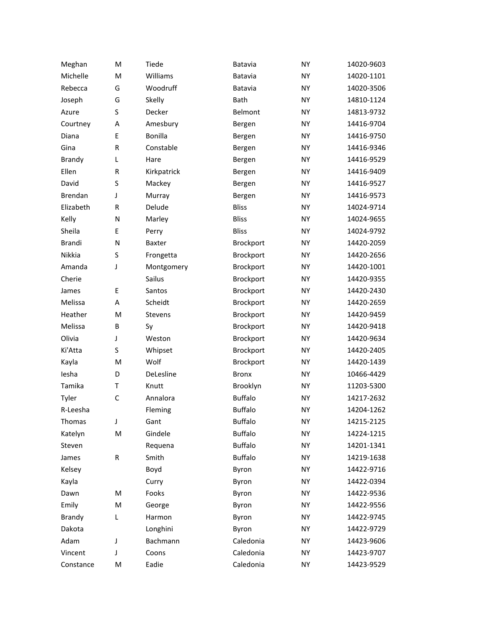| Meghan        | M | Tiede          | Batavia          | <b>NY</b> | 14020-9603 |
|---------------|---|----------------|------------------|-----------|------------|
| Michelle      | M | Williams       | Batavia          | <b>NY</b> | 14020-1101 |
| Rebecca       | G | Woodruff       | Batavia          | <b>NY</b> | 14020-3506 |
| Joseph        | G | Skelly         | Bath             | <b>NY</b> | 14810-1124 |
| Azure         | S | Decker         | <b>Belmont</b>   | <b>NY</b> | 14813-9732 |
| Courtney      | A | Amesbury       | Bergen           | <b>NY</b> | 14416-9704 |
| Diana         | E | Bonilla        | Bergen           | <b>NY</b> | 14416-9750 |
| Gina          | R | Constable      | Bergen           | <b>NY</b> | 14416-9346 |
| <b>Brandy</b> | L | Hare           | Bergen           | <b>NY</b> | 14416-9529 |
| Ellen         | R | Kirkpatrick    | Bergen           | <b>NY</b> | 14416-9409 |
| David         | S | Mackey         | Bergen           | <b>NY</b> | 14416-9527 |
| Brendan       | J | Murray         | Bergen           | <b>NY</b> | 14416-9573 |
| Elizabeth     | R | Delude         | <b>Bliss</b>     | <b>NY</b> | 14024-9714 |
| Kelly         | N | Marley         | <b>Bliss</b>     | <b>NY</b> | 14024-9655 |
| Sheila        | E | Perry          | <b>Bliss</b>     | <b>NY</b> | 14024-9792 |
| <b>Brandi</b> | N | Baxter         | <b>Brockport</b> | <b>NY</b> | 14420-2059 |
| Nikkia        | S | Frongetta      | Brockport        | <b>NY</b> | 14420-2656 |
| Amanda        | J | Montgomery     | Brockport        | <b>NY</b> | 14420-1001 |
| Cherie        |   | Sailus         | Brockport        | <b>NY</b> | 14420-9355 |
| James         | E | Santos         | Brockport        | <b>NY</b> | 14420-2430 |
| Melissa       | A | Scheidt        | Brockport        | <b>NY</b> | 14420-2659 |
| Heather       | M | <b>Stevens</b> | Brockport        | <b>NY</b> | 14420-9459 |
| Melissa       | B | Sy             | Brockport        | <b>NY</b> | 14420-9418 |
| Olivia        | J | Weston         | Brockport        | <b>NY</b> | 14420-9634 |
| Ki'Atta       | S | Whipset        | Brockport        | <b>NY</b> | 14420-2405 |
| Kayla         | M | Wolf           | Brockport        | <b>NY</b> | 14420-1439 |
| lesha         | D | DeLesline      | <b>Bronx</b>     | <b>NY</b> | 10466-4429 |
| Tamika        | T | Knutt          | Brooklyn         | <b>NY</b> | 11203-5300 |
| Tyler         | C | Annalora       | <b>Buffalo</b>   | <b>NY</b> | 14217-2632 |
| R-Leesha      |   | Fleming        | <b>Buffalo</b>   | <b>NY</b> | 14204-1262 |
| Thomas        | J | Gant           | <b>Buffalo</b>   | NY        | 14215-2125 |
| Katelyn       | M | Gindele        | <b>Buffalo</b>   | <b>NY</b> | 14224-1215 |
| Steven        |   | Requena        | <b>Buffalo</b>   | <b>NY</b> | 14201-1341 |
| James         | R | Smith          | <b>Buffalo</b>   | NY        | 14219-1638 |
| Kelsey        |   | Boyd           | Byron            | <b>NY</b> | 14422-9716 |
| Kayla         |   | Curry          | Byron            | <b>NY</b> | 14422-0394 |
| Dawn          | M | Fooks          | Byron            | <b>NY</b> | 14422-9536 |
| Emily         | M | George         | Byron            | <b>NY</b> | 14422-9556 |
| Brandy        | L | Harmon         | Byron            | <b>NY</b> | 14422-9745 |
| Dakota        |   | Longhini       | Byron            | <b>NY</b> | 14422-9729 |
| Adam          | J | Bachmann       | Caledonia        | <b>NY</b> | 14423-9606 |
| Vincent       | J | Coons          | Caledonia        | <b>NY</b> | 14423-9707 |
| Constance     | Μ | Eadie          | Caledonia        | <b>NY</b> | 14423-9529 |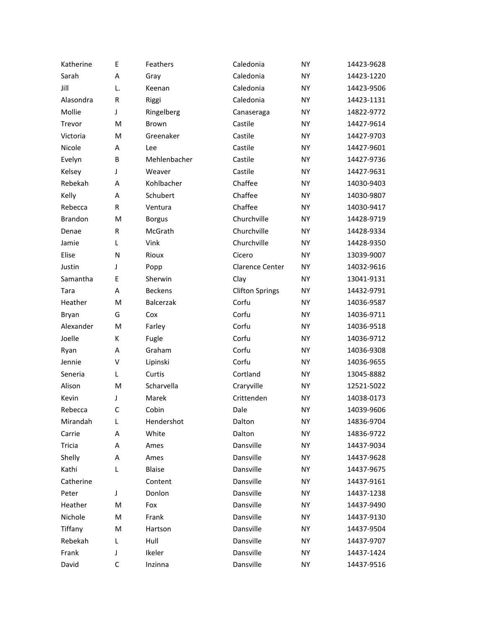| Katherine      | E            | Feathers         | Caledonia              | <b>NY</b> | 14423-9628 |
|----------------|--------------|------------------|------------------------|-----------|------------|
| Sarah          | A            | Gray             | Caledonia              | <b>NY</b> | 14423-1220 |
| Jill           | L.           | Keenan           | Caledonia              | <b>NY</b> | 14423-9506 |
| Alasondra      | R            | Riggi            | Caledonia              | <b>NY</b> | 14423-1131 |
| Mollie         | J            | Ringelberg       | Canaseraga             | <b>NY</b> | 14822-9772 |
| Trevor         | M            | Brown            | Castile                | <b>NY</b> | 14427-9614 |
| Victoria       | M            | Greenaker        | Castile                | <b>NY</b> | 14427-9703 |
| Nicole         | A            | Lee              | Castile                | <b>NY</b> | 14427-9601 |
| Evelyn         | B            | Mehlenbacher     | Castile                | <b>NY</b> | 14427-9736 |
| Kelsey         | J            | Weaver           | Castile                | <b>NY</b> | 14427-9631 |
| Rebekah        | A            | Kohlbacher       | Chaffee                | <b>NY</b> | 14030-9403 |
| Kelly          | A            | Schubert         | Chaffee                | <b>NY</b> | 14030-9807 |
| Rebecca        | R            | Ventura          | Chaffee                | <b>NY</b> | 14030-9417 |
| <b>Brandon</b> | M            | <b>Borgus</b>    | Churchville            | <b>NY</b> | 14428-9719 |
| Denae          | R            | McGrath          | Churchville            | <b>NY</b> | 14428-9334 |
| Jamie          | L            | Vink             | Churchville            | <b>NY</b> | 14428-9350 |
| Elise          | N            | Rioux            | Cicero                 | <b>NY</b> | 13039-9007 |
| Justin         | J            | Popp             | <b>Clarence Center</b> | <b>NY</b> | 14032-9616 |
| Samantha       | E            | Sherwin          | Clay                   | <b>NY</b> | 13041-9131 |
| Tara           | A            | <b>Beckens</b>   | <b>Clifton Springs</b> | <b>NY</b> | 14432-9791 |
| Heather        | M            | <b>Balcerzak</b> | Corfu                  | <b>NY</b> | 14036-9587 |
| Bryan          | G            | Cox              | Corfu                  | <b>NY</b> | 14036-9711 |
| Alexander      | M            | Farley           | Corfu                  | <b>NY</b> | 14036-9518 |
| Joelle         | К            | Fugle            | Corfu                  | <b>NY</b> | 14036-9712 |
| Ryan           | A            | Graham           | Corfu                  | <b>NY</b> | 14036-9308 |
| Jennie         | v            | Lipinski         | Corfu                  | <b>NY</b> | 14036-9655 |
| Seneria        | Г            | Curtis           | Cortland               | <b>NY</b> | 13045-8882 |
| Alison         | M            | Scharvella       | Craryville             | <b>NY</b> | 12521-5022 |
| Kevin          | J            | Marek            | Crittenden             | <b>NY</b> | 14038-0173 |
| Rebecca        | $\mathsf{C}$ | Cobin            | Dale                   | <b>NY</b> | 14039-9606 |
| Mirandah       | L            | Hendershot       | Dalton                 | <b>NY</b> | 14836-9704 |
| Carrie         | Α            | White            | Dalton                 | <b>NY</b> | 14836-9722 |
| Tricia         | Α            | Ames             | Dansville              | <b>NY</b> | 14437-9034 |
| Shelly         | Α            | Ames             | Dansville              | <b>NY</b> | 14437-9628 |
| Kathi          | L            | <b>Blaise</b>    | Dansville              | <b>NY</b> | 14437-9675 |
| Catherine      |              | Content          | Dansville              | <b>NY</b> | 14437-9161 |
| Peter          | J            | Donlon           | Dansville              | <b>NY</b> | 14437-1238 |
| Heather        | M            | Fox              | Dansville              | <b>NY</b> | 14437-9490 |
| Nichole        | M            | Frank            | Dansville              | <b>NY</b> | 14437-9130 |
| Tiffany        | M            | Hartson          | Dansville              | <b>NY</b> | 14437-9504 |
| Rebekah        | L            | Hull             | Dansville              | <b>NY</b> | 14437-9707 |
| Frank          | J            | Ikeler           | Dansville              | <b>NY</b> | 14437-1424 |
| David          | С            | Inzinna          | Dansville              | <b>NY</b> | 14437-9516 |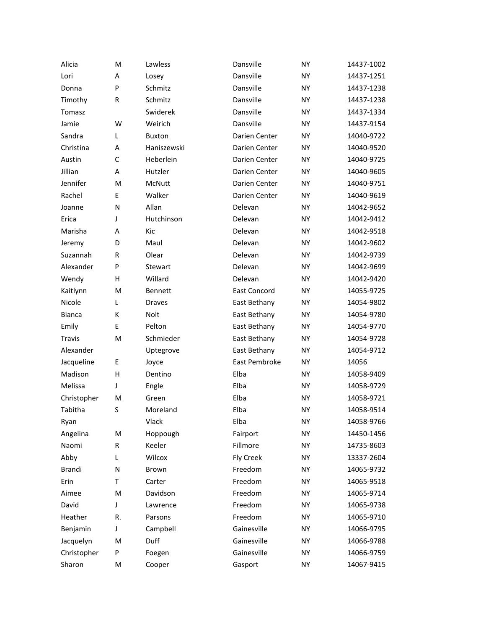| Alicia        | M  | Lawless       | Dansville           | <b>NY</b> | 14437-1002 |
|---------------|----|---------------|---------------------|-----------|------------|
| Lori          | A  | Losey         | Dansville           | <b>NY</b> | 14437-1251 |
| Donna         | P  | Schmitz       | Dansville           | <b>NY</b> | 14437-1238 |
| Timothy       | R  | Schmitz       | Dansville           | <b>NY</b> | 14437-1238 |
| Tomasz        |    | Swiderek      | Dansville           | <b>NY</b> | 14437-1334 |
| Jamie         | W  | Weirich       | Dansville           | <b>NY</b> | 14437-9154 |
| Sandra        | L  | <b>Buxton</b> | Darien Center       | <b>NY</b> | 14040-9722 |
| Christina     | A  | Haniszewski   | Darien Center       | <b>NY</b> | 14040-9520 |
| Austin        | C  | Heberlein     | Darien Center       | <b>NY</b> | 14040-9725 |
| Jillian       | A  | Hutzler       | Darien Center       | <b>NY</b> | 14040-9605 |
| Jennifer      | M  | McNutt        | Darien Center       | <b>NY</b> | 14040-9751 |
| Rachel        | E  | Walker        | Darien Center       | <b>NY</b> | 14040-9619 |
| Joanne        | N  | Allan         | Delevan             | <b>NY</b> | 14042-9652 |
| Erica         | J  | Hutchinson    | Delevan             | <b>NY</b> | 14042-9412 |
| Marisha       | A  | Kic           | Delevan             | <b>NY</b> | 14042-9518 |
| Jeremy        | D  | Maul          | Delevan             | <b>NY</b> | 14042-9602 |
| Suzannah      | R  | Olear         | Delevan             | <b>NY</b> | 14042-9739 |
| Alexander     | P  | Stewart       | Delevan             | <b>NY</b> | 14042-9699 |
| Wendy         | H  | Willard       | Delevan             | <b>NY</b> | 14042-9420 |
| Kaitlynn      | M  | Bennett       | <b>East Concord</b> | <b>NY</b> | 14055-9725 |
| Nicole        | L  | <b>Draves</b> | East Bethany        | <b>NY</b> | 14054-9802 |
| <b>Bianca</b> | К  | <b>Nolt</b>   | East Bethany        | <b>NY</b> | 14054-9780 |
| Emily         | E  | Pelton        | East Bethany        | <b>NY</b> | 14054-9770 |
| <b>Travis</b> | M  | Schmieder     | East Bethany        | <b>NY</b> | 14054-9728 |
| Alexander     |    | Uptegrove     | East Bethany        | <b>NY</b> | 14054-9712 |
| Jacqueline    | E. | Joyce         | East Pembroke       | <b>NY</b> | 14056      |
| Madison       | H  | Dentino       | Elba                | <b>NY</b> | 14058-9409 |
| Melissa       | J  | Engle         | Elba                | <b>NY</b> | 14058-9729 |
| Christopher   | м  | Green         | Elba                | <b>NY</b> | 14058-9721 |
| Tabitha       | S  | Moreland      | Elba                | <b>NY</b> | 14058-9514 |
| Ryan          |    | Vlack         | Elba                | <b>NY</b> | 14058-9766 |
| Angelina      | M  | Hoppough      | Fairport            | <b>NY</b> | 14450-1456 |
| Naomi         | R  | Keeler        | Fillmore            | <b>NY</b> | 14735-8603 |
| Abby          | L  | Wilcox        | Fly Creek           | <b>NY</b> | 13337-2604 |
| Brandi        | N  | <b>Brown</b>  | Freedom             | <b>NY</b> | 14065-9732 |
| Erin          | т  | Carter        | Freedom             | <b>NY</b> | 14065-9518 |
| Aimee         | M  | Davidson      | Freedom             | <b>NY</b> | 14065-9714 |
| David         | J  | Lawrence      | Freedom             | <b>NY</b> | 14065-9738 |
| Heather       | R. | Parsons       | Freedom             | <b>NY</b> | 14065-9710 |
| Benjamin      | J  | Campbell      | Gainesville         | <b>NY</b> | 14066-9795 |
| Jacquelyn     | M  | Duff          | Gainesville         | <b>NY</b> | 14066-9788 |
| Christopher   | P  | Foegen        | Gainesville         | <b>NY</b> | 14066-9759 |
| Sharon        | M  | Cooper        | Gasport             | <b>NY</b> | 14067-9415 |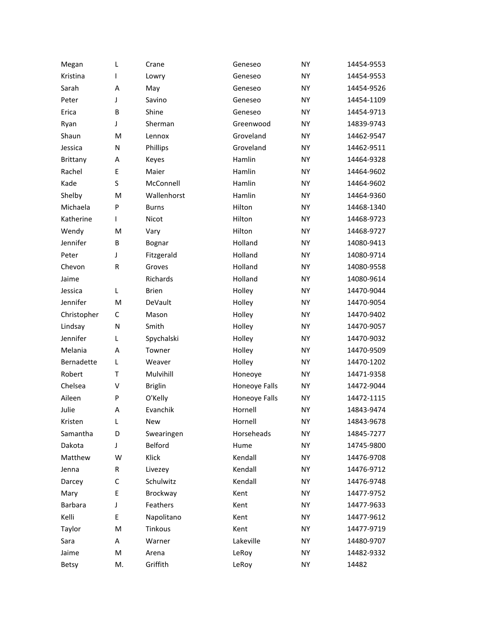| Megan           | L         | Crane          | Geneseo       | <b>NY</b> | 14454-9553 |
|-----------------|-----------|----------------|---------------|-----------|------------|
| Kristina        | L         | Lowry          | Geneseo       | <b>NY</b> | 14454-9553 |
| Sarah           | Α         | May            | Geneseo       | <b>NY</b> | 14454-9526 |
| Peter           | J         | Savino         | Geneseo       | <b>NY</b> | 14454-1109 |
| Erica           | B         | Shine          | Geneseo       | <b>NY</b> | 14454-9713 |
| Ryan            | J         | Sherman        | Greenwood     | <b>NY</b> | 14839-9743 |
| Shaun           | M         | Lennox         | Groveland     | <b>NY</b> | 14462-9547 |
| Jessica         | N         | Phillips       | Groveland     | <b>NY</b> | 14462-9511 |
| <b>Brittany</b> | Α         | Keyes          | Hamlin        | <b>NY</b> | 14464-9328 |
| Rachel          | E         | Maier          | Hamlin        | <b>NY</b> | 14464-9602 |
| Kade            | S         | McConnell      | Hamlin        | <b>NY</b> | 14464-9602 |
| Shelby          | M         | Wallenhorst    | Hamlin        | <b>NY</b> | 14464-9360 |
| Michaela        | P         | <b>Burns</b>   | Hilton        | <b>NY</b> | 14468-1340 |
| Katherine       | L         | Nicot          | Hilton        | <b>NY</b> | 14468-9723 |
| Wendy           | M         | Vary           | Hilton        | <b>NY</b> | 14468-9727 |
| Jennifer        | B         | Bognar         | Holland       | <b>NY</b> | 14080-9413 |
| Peter           | J         | Fitzgerald     | Holland       | <b>NY</b> | 14080-9714 |
| Chevon          | R         | Groves         | Holland       | <b>NY</b> | 14080-9558 |
| Jaime           |           | Richards       | Holland       | <b>NY</b> | 14080-9614 |
| Jessica         | L         | <b>Brien</b>   | Holley        | <b>NY</b> | 14470-9044 |
| Jennifer        | M         | DeVault        | Holley        | <b>NY</b> | 14470-9054 |
| Christopher     | C         | Mason          | Holley        | <b>NY</b> | 14470-9402 |
| Lindsay         | ${\sf N}$ | Smith          | Holley        | <b>NY</b> | 14470-9057 |
| Jennifer        | L         | Spychalski     | Holley        | <b>NY</b> | 14470-9032 |
| Melania         | Α         | Towner         | Holley        | <b>NY</b> | 14470-9509 |
| Bernadette      | L         | Weaver         | Holley        | <b>NY</b> | 14470-1202 |
| Robert          | T         | Mulvihill      | Honeoye       | <b>NY</b> | 14471-9358 |
| Chelsea         | v         | <b>Briglin</b> | Honeoye Falls | <b>NY</b> | 14472-9044 |
| Aileen          | P         | O'Kelly        | Honeoye Falls | <b>NY</b> | 14472-1115 |
| Julie           | Α         | Evanchik       | Hornell       | <b>NY</b> | 14843-9474 |
| Kristen         | L         | New            | Hornell       | NY        | 14843-9678 |
| Samantha        | D         | Swearingen     | Horseheads    | <b>NY</b> | 14845-7277 |
| Dakota          | J         | Belford        | Hume          | <b>NY</b> | 14745-9800 |
| Matthew         | W         | Klick          | Kendall       | <b>NY</b> | 14476-9708 |
| Jenna           | R         | Livezey        | Kendall       | <b>NY</b> | 14476-9712 |
| Darcey          | C         | Schulwitz      | Kendall       | <b>NY</b> | 14476-9748 |
| Mary            | E         | Brockway       | Kent          | <b>NY</b> | 14477-9752 |
| Barbara         | J         | Feathers       | Kent          | <b>NY</b> | 14477-9633 |
| Kelli           | E         | Napolitano     | Kent          | <b>NY</b> | 14477-9612 |
| Taylor          | M         | Tinkous        | Kent          | <b>NY</b> | 14477-9719 |
| Sara            | Α         | Warner         | Lakeville     | <b>NY</b> | 14480-9707 |
| Jaime           | M         | Arena          | LeRoy         | <b>NY</b> | 14482-9332 |
| <b>Betsy</b>    | М.        | Griffith       | LeRoy         | <b>NY</b> | 14482      |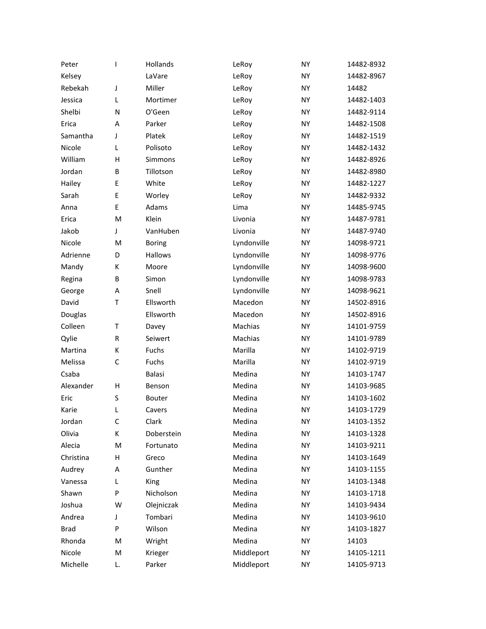| Peter       | L           | Hollands      | LeRoy       | <b>NY</b> | 14482-8932 |
|-------------|-------------|---------------|-------------|-----------|------------|
| Kelsey      |             | LaVare        | LeRoy       | <b>NY</b> | 14482-8967 |
| Rebekah     | J           | Miller        | LeRoy       | <b>NY</b> | 14482      |
| Jessica     | L           | Mortimer      | LeRoy       | <b>NY</b> | 14482-1403 |
| Shelbi      | N           | O'Geen        | LeRoy       | <b>NY</b> | 14482-9114 |
| Erica       | A           | Parker        | LeRoy       | <b>NY</b> | 14482-1508 |
| Samantha    | J           | Platek        | LeRoy       | <b>NY</b> | 14482-1519 |
| Nicole      | L           | Polisoto      | LeRoy       | <b>NY</b> | 14482-1432 |
| William     | Н           | Simmons       | LeRoy       | <b>NY</b> | 14482-8926 |
| Jordan      | B           | Tillotson     | LeRoy       | <b>NY</b> | 14482-8980 |
| Hailey      | E           | White         | LeRoy       | <b>NY</b> | 14482-1227 |
| Sarah       | E           | Worley        | LeRoy       | <b>NY</b> | 14482-9332 |
| Anna        | E           | Adams         | Lima        | <b>NY</b> | 14485-9745 |
| Erica       | M           | Klein         | Livonia     | <b>NY</b> | 14487-9781 |
| Jakob       | J           | VanHuben      | Livonia     | <b>NY</b> | 14487-9740 |
| Nicole      | M           | <b>Boring</b> | Lyndonville | <b>NY</b> | 14098-9721 |
| Adrienne    | D           | Hallows       | Lyndonville | <b>NY</b> | 14098-9776 |
| Mandy       | K           | Moore         | Lyndonville | <b>NY</b> | 14098-9600 |
| Regina      | B           | Simon         | Lyndonville | <b>NY</b> | 14098-9783 |
| George      | Α           | Snell         | Lyndonville | <b>NY</b> | 14098-9621 |
| David       | T           | Ellsworth     | Macedon     | <b>NY</b> | 14502-8916 |
| Douglas     |             | Ellsworth     | Macedon     | <b>NY</b> | 14502-8916 |
| Colleen     | T           | Davey         | Machias     | <b>NY</b> | 14101-9759 |
| Qylie       | R           | Seiwert       | Machias     | <b>NY</b> | 14101-9789 |
| Martina     | K           | Fuchs         | Marilla     | <b>NY</b> | 14102-9719 |
| Melissa     | $\mathsf C$ | Fuchs         | Marilla     | <b>NY</b> | 14102-9719 |
| Csaba       |             | Balasi        | Medina      | <b>NY</b> | 14103-1747 |
| Alexander   | Н           | Benson        | Medina      | <b>NY</b> | 14103-9685 |
| Eric        | S           | Bouter        | Medina      | <b>NY</b> | 14103-1602 |
| Karie       | L           | Cavers        | Medina      | <b>NY</b> | 14103-1729 |
| Jordan      | C           | Clark         | Medina      | NY        | 14103-1352 |
| Olivia      | K           | Doberstein    | Medina      | <b>NY</b> | 14103-1328 |
| Alecia      | M           | Fortunato     | Medina      | <b>NY</b> | 14103-9211 |
| Christina   | Н           | Greco         | Medina      | <b>NY</b> | 14103-1649 |
| Audrey      | Α           | Gunther       | Medina      | <b>NY</b> | 14103-1155 |
| Vanessa     | Г           | King          | Medina      | <b>NY</b> | 14103-1348 |
| Shawn       | P           | Nicholson     | Medina      | <b>NY</b> | 14103-1718 |
| Joshua      | W           | Olejniczak    | Medina      | <b>NY</b> | 14103-9434 |
| Andrea      | J           | Tombari       | Medina      | <b>NY</b> | 14103-9610 |
| <b>Brad</b> | P           | Wilson        | Medina      | <b>NY</b> | 14103-1827 |
| Rhonda      | M           | Wright        | Medina      | <b>NY</b> | 14103      |
| Nicole      | M           | Krieger       | Middleport  | <b>NY</b> | 14105-1211 |
| Michelle    | L.          | Parker        | Middleport  | NY        | 14105-9713 |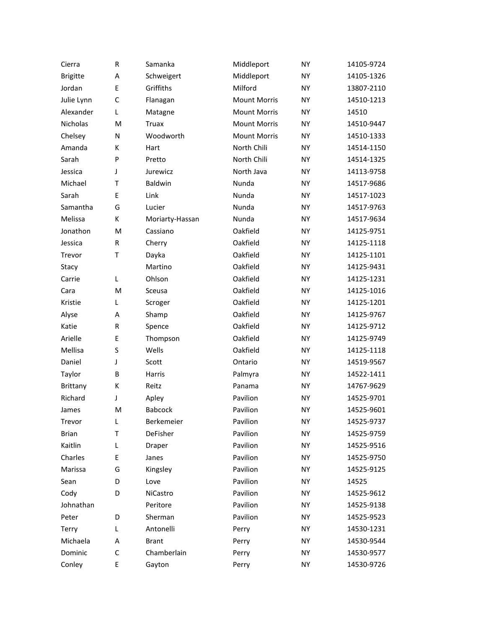| Cierra          | R            | Samanka         | Middleport          | <b>NY</b> | 14105-9724 |
|-----------------|--------------|-----------------|---------------------|-----------|------------|
| <b>Brigitte</b> | Α            | Schweigert      | Middleport          | <b>NY</b> | 14105-1326 |
| Jordan          | E            | Griffiths       | Milford             | <b>NY</b> | 13807-2110 |
| Julie Lynn      | $\mathsf{C}$ | Flanagan        | <b>Mount Morris</b> | <b>NY</b> | 14510-1213 |
| Alexander       | L            | Matagne         | <b>Mount Morris</b> | <b>NY</b> | 14510      |
| Nicholas        | M            | Truax           | <b>Mount Morris</b> | <b>NY</b> | 14510-9447 |
| Chelsey         | N            | Woodworth       | <b>Mount Morris</b> | <b>NY</b> | 14510-1333 |
| Amanda          | К            | Hart            | North Chili         | <b>NY</b> | 14514-1150 |
| Sarah           | P            | Pretto          | North Chili         | <b>NY</b> | 14514-1325 |
| Jessica         | J            | Jurewicz        | North Java          | <b>NY</b> | 14113-9758 |
| Michael         | T            | Baldwin         | Nunda               | <b>NY</b> | 14517-9686 |
| Sarah           | Ε            | Link            | Nunda               | <b>NY</b> | 14517-1023 |
| Samantha        | G            | Lucier          | Nunda               | <b>NY</b> | 14517-9763 |
| Melissa         | К            | Moriarty-Hassan | Nunda               | <b>NY</b> | 14517-9634 |
| Jonathon        | M            | Cassiano        | Oakfield            | <b>NY</b> | 14125-9751 |
| Jessica         | R            | Cherry          | Oakfield            | <b>NY</b> | 14125-1118 |
| Trevor          | T            | Dayka           | Oakfield            | <b>NY</b> | 14125-1101 |
| Stacy           |              | Martino         | Oakfield            | <b>NY</b> | 14125-9431 |
| Carrie          | L            | Ohlson          | Oakfield            | <b>NY</b> | 14125-1231 |
| Cara            | M            | Sceusa          | Oakfield            | <b>NY</b> | 14125-1016 |
| Kristie         | Г            | Scroger         | Oakfield            | <b>NY</b> | 14125-1201 |
| Alyse           | A            | Shamp           | Oakfield            | <b>NY</b> | 14125-9767 |
| Katie           | R            | Spence          | Oakfield            | <b>NY</b> | 14125-9712 |
| Arielle         | Ε            | Thompson        | Oakfield            | <b>NY</b> | 14125-9749 |
| Mellisa         | S            | Wells           | Oakfield            | <b>NY</b> | 14125-1118 |
| Daniel          | J            | Scott           | Ontario             | <b>NY</b> | 14519-9567 |
| Taylor          | B            | Harris          | Palmyra             | <b>NY</b> | 14522-1411 |
| Brittany        | К            | Reitz           | Panama              | <b>NY</b> | 14767-9629 |
| Richard         | J            | Apley           | Pavilion            | <b>NY</b> | 14525-9701 |
| James           | M            | <b>Babcock</b>  | Pavilion            | <b>NY</b> | 14525-9601 |
| Trevor          | L            | Berkemeier      | Pavilion            | <b>NY</b> | 14525-9737 |
| <b>Brian</b>    | T            | DeFisher        | Pavilion            | <b>NY</b> | 14525-9759 |
| Kaitlin         | Г            | Draper          | Pavilion            | <b>NY</b> | 14525-9516 |
| Charles         | Ε            | Janes           | Pavilion            | <b>NY</b> | 14525-9750 |
| Marissa         | G            | Kingsley        | Pavilion            | <b>NY</b> | 14525-9125 |
| Sean            | D            | Love            | Pavilion            | <b>NY</b> | 14525      |
| Cody            | D            | NiCastro        | Pavilion            | <b>NY</b> | 14525-9612 |
| Johnathan       |              | Peritore        | Pavilion            | <b>NY</b> | 14525-9138 |
| Peter           | D            | Sherman         | Pavilion            | <b>NY</b> | 14525-9523 |
| Terry           | L            | Antonelli       | Perry               | <b>NY</b> | 14530-1231 |
| Michaela        | Α            | <b>Brant</b>    | Perry               | <b>NY</b> | 14530-9544 |
| Dominic         | C            | Chamberlain     | Perry               | <b>NY</b> | 14530-9577 |
| Conley          | E            | Gayton          | Perry               | <b>NY</b> | 14530-9726 |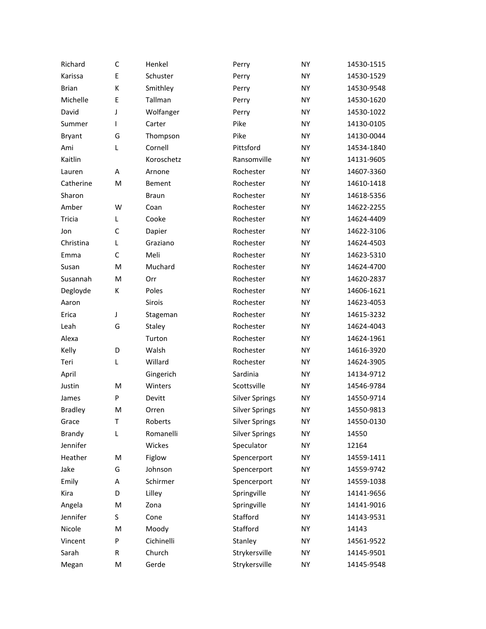| Richard        | C | Henkel       | Perry                 | NY        | 14530-1515 |
|----------------|---|--------------|-----------------------|-----------|------------|
| Karissa        | E | Schuster     | Perry                 | <b>NY</b> | 14530-1529 |
| <b>Brian</b>   | К | Smithley     | Perry                 | NY        | 14530-9548 |
| Michelle       | E | Tallman      | Perry                 | NY        | 14530-1620 |
| David          | J | Wolfanger    | Perry                 | NY        | 14530-1022 |
| Summer         | L | Carter       | Pike                  | NY        | 14130-0105 |
| <b>Bryant</b>  | G | Thompson     | Pike                  | NY        | 14130-0044 |
| Ami            | L | Cornell      | Pittsford             | <b>NY</b> | 14534-1840 |
| Kaitlin        |   | Koroschetz   | Ransomville           | NY        | 14131-9605 |
| Lauren         | A | Arnone       | Rochester             | NY        | 14607-3360 |
| Catherine      | M | Bement       | Rochester             | NY        | 14610-1418 |
| Sharon         |   | <b>Braun</b> | Rochester             | NY        | 14618-5356 |
| Amber          | W | Coan         | Rochester             | NY        | 14622-2255 |
| Tricia         | L | Cooke        | Rochester             | NY        | 14624-4409 |
| Jon            | C | Dapier       | Rochester             | NY        | 14622-3106 |
| Christina      | L | Graziano     | Rochester             | NY        | 14624-4503 |
| Emma           | C | Meli         | Rochester             | NY        | 14623-5310 |
| Susan          | M | Muchard      | Rochester             | NY        | 14624-4700 |
| Susannah       | M | Orr          | Rochester             | NY        | 14620-2837 |
| Degloyde       | К | Poles        | Rochester             | NY        | 14606-1621 |
| Aaron          |   | Sirois       | Rochester             | NY        | 14623-4053 |
| Erica          | J | Stageman     | Rochester             | NY        | 14615-3232 |
| Leah           | G | Staley       | Rochester             | NY        | 14624-4043 |
| Alexa          |   | Turton       | Rochester             | NY        | 14624-1961 |
| Kelly          | D | Walsh        | Rochester             | NY        | 14616-3920 |
| Teri           | L | Willard      | Rochester             | NY        | 14624-3905 |
| April          |   | Gingerich    | Sardinia              | <b>NY</b> | 14134-9712 |
| Justin         | M | Winters      | Scottsville           | NY        | 14546-9784 |
| James          | P | Devitt       | <b>Silver Springs</b> | NY        | 14550-9714 |
| <b>Bradley</b> | M | Orren        | <b>Silver Springs</b> | NY        | 14550-9813 |
| Grace          | T | Roberts      | <b>Silver Springs</b> | NY        | 14550-0130 |
| Brandy         | L | Romanelli    | <b>Silver Springs</b> | NY        | 14550      |
| Jennifer       |   | Wickes       | Speculator            | NY        | 12164      |
| Heather        | M | Figlow       | Spencerport           | NY        | 14559-1411 |
| Jake           | G | Johnson      | Spencerport           | NY        | 14559-9742 |
| Emily          | Α | Schirmer     | Spencerport           | NY        | 14559-1038 |
| Kira           | D | Lilley       | Springville           | NY        | 14141-9656 |
| Angela         | M | Zona         | Springville           | NY        | 14141-9016 |
| Jennifer       | S | Cone         | Stafford              | NY        | 14143-9531 |
| Nicole         | M | Moody        | Stafford              | NY        | 14143      |
| Vincent        | P | Cichinelli   | Stanley               | NY        | 14561-9522 |
| Sarah          | R | Church       | Strykersville         | NY        | 14145-9501 |
| Megan          | M | Gerde        | Strykersville         | NY        | 14145-9548 |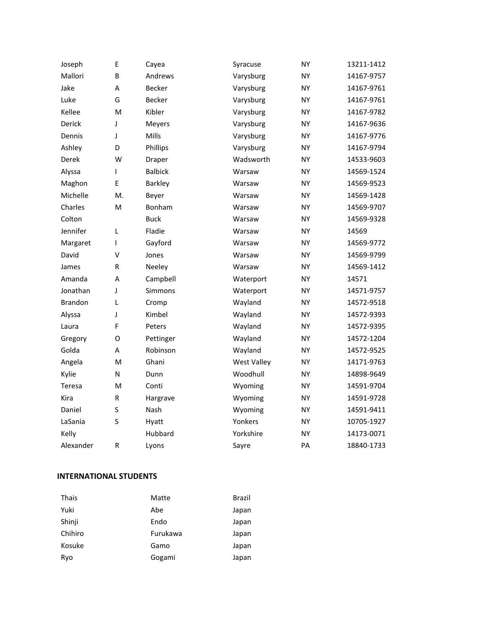| Joseph         | E         | Cayea          | Syracuse           | <b>NY</b> | 13211-1412 |
|----------------|-----------|----------------|--------------------|-----------|------------|
| Mallori        | B         | Andrews        | Varysburg          | <b>NY</b> | 14167-9757 |
| Jake           | A         | <b>Becker</b>  | Varysburg          | <b>NY</b> | 14167-9761 |
| Luke           | G         | <b>Becker</b>  | Varysburg          | <b>NY</b> | 14167-9761 |
| Kellee         | M         | Kibler         | Varysburg          | <b>NY</b> | 14167-9782 |
| Derick         | J         | Meyers         | Varysburg          | <b>NY</b> | 14167-9636 |
| Dennis         | J         | Mills          | Varysburg          | <b>NY</b> | 14167-9776 |
| Ashley         | D         | Phillips       | Varysburg          | <b>NY</b> | 14167-9794 |
| Derek          | W         | Draper         | Wadsworth          | <b>NY</b> | 14533-9603 |
| Alyssa         | L         | <b>Balbick</b> | Warsaw             | <b>NY</b> | 14569-1524 |
| Maghon         | E         | Barkley        | Warsaw             | <b>NY</b> | 14569-9523 |
| Michelle       | М.        | Beyer          | Warsaw             | <b>NY</b> | 14569-1428 |
| Charles        | M         | Bonham         | Warsaw             | <b>NY</b> | 14569-9707 |
| Colton         |           | <b>Buck</b>    | Warsaw             | <b>NY</b> | 14569-9328 |
| Jennifer       | L         | Fladie         | Warsaw             | <b>NY</b> | 14569      |
| Margaret       | T         | Gayford        | Warsaw             | <b>NY</b> | 14569-9772 |
| David          | v         | Jones          | Warsaw             | <b>NY</b> | 14569-9799 |
| James          | R         | Neeley         | Warsaw             | <b>NY</b> | 14569-1412 |
| Amanda         | A         | Campbell       | Waterport          | <b>NY</b> | 14571      |
| Jonathan       | J         | Simmons        | Waterport          | <b>NY</b> | 14571-9757 |
| <b>Brandon</b> | L         | Cromp          | Wayland            | <b>NY</b> | 14572-9518 |
| Alyssa         | J         | Kimbel         | Wayland            | <b>NY</b> | 14572-9393 |
| Laura          | F         | Peters         | Wayland            | <b>NY</b> | 14572-9395 |
| Gregory        | O         | Pettinger      | Wayland            | <b>NY</b> | 14572-1204 |
| Golda          | A         | Robinson       | Wayland            | <b>NY</b> | 14572-9525 |
| Angela         | M         | Ghani          | <b>West Valley</b> | <b>NY</b> | 14171-9763 |
| Kylie          | N         | Dunn           | Woodhull           | <b>NY</b> | 14898-9649 |
| Teresa         | M         | Conti          | Wyoming            | <b>NY</b> | 14591-9704 |
| Kira           | ${\sf R}$ | Hargrave       | Wyoming            | <b>NY</b> | 14591-9728 |
| Daniel         | S         | Nash           | Wyoming            | <b>NY</b> | 14591-9411 |
| LaSania        | S         | Hyatt          | Yonkers            | <b>NY</b> | 10705-1927 |
| Kelly          |           | Hubbard        | Yorkshire          | <b>NY</b> | 14173-0071 |
| Alexander      | R         | Lyons          | Sayre              | PA        | 18840-1733 |

## **INTERNATIONAL STUDENTS**

| Thais   | Matte    | Brazil |
|---------|----------|--------|
| Yuki    | Abe      | Japan  |
| Shinji  | Endo     | Japan  |
| Chihiro | Furukawa | Japan  |
| Kosuke  | Gamo     | Japan  |
| Ryo     | Gogami   | Japan  |